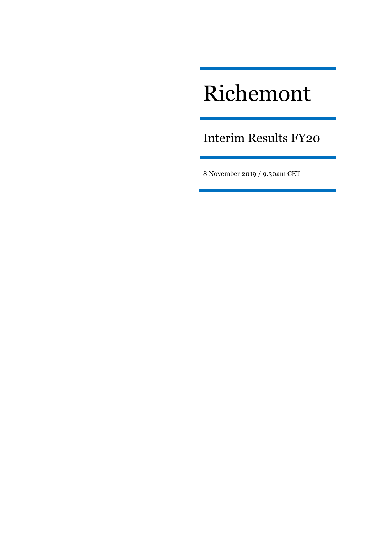# Richemont

Interim Results FY20

8 November 2019 / 9.30am CET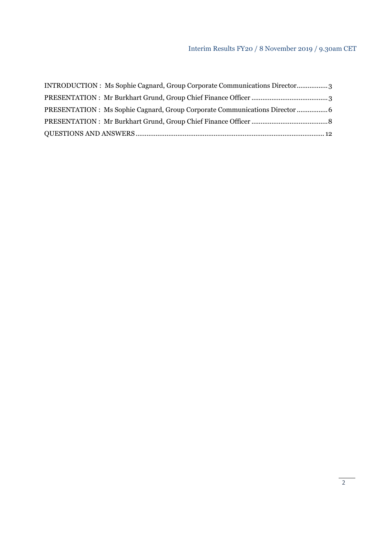# Interim Results FY20 / 8 November 2019 / 9.30am CET

| INTRODUCTION : Ms Sophie Cagnard, Group Corporate Communications Director |  |
|---------------------------------------------------------------------------|--|
|                                                                           |  |
| PRESENTATION : Ms Sophie Cagnard, Group Corporate Communications Director |  |
|                                                                           |  |
|                                                                           |  |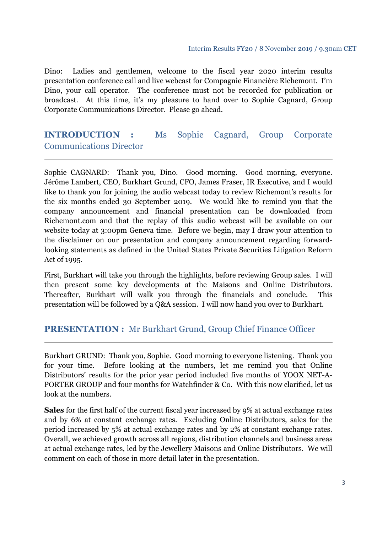#### Interim Results FY20 / 8 November 2019 / 9.30am CET

Dino: Ladies and gentlemen, welcome to the fiscal year 2020 interim results presentation conference call and live webcast for Compagnie Financière Richemont. I'm Dino, your call operator. The conference must not be recorded for publication or broadcast. At this time, it's my pleasure to hand over to Sophie Cagnard, Group Corporate Communications Director. Please go ahead.

# **INTRODUCTION :** Ms Sophie Cagnard, Group Corporate Communications Director

Sophie CAGNARD: Thank you, Dino. Good morning. Good morning, everyone. Jérôme Lambert, CEO, Burkhart Grund, CFO, James Fraser, IR Executive, and I would like to thank you for joining the audio webcast today to review Richemont's results for the six months ended 30 September 2019. We would like to remind you that the company announcement and financial presentation can be downloaded from Richemont.com and that the replay of this audio webcast will be available on our website today at 3:00pm Geneva time. Before we begin, may I draw your attention to the disclaimer on our presentation and company announcement regarding forwardlooking statements as defined in the United States Private Securities Litigation Reform Act of 1995.

First, Burkhart will take you through the highlights, before reviewing Group sales. I will then present some key developments at the Maisons and Online Distributors. Thereafter, Burkhart will walk you through the financials and conclude. This presentation will be followed by a Q&A session. I will now hand you over to Burkhart.

# **PRESENTATION :** Mr Burkhart Grund, Group Chief Finance Officer

Burkhart GRUND: Thank you, Sophie. Good morning to everyone listening. Thank you for your time. Before looking at the numbers, let me remind you that Online Distributors' results for the prior year period included five months of YOOX NET-A-PORTER GROUP and four months for Watchfinder & Co. With this now clarified, let us look at the numbers.

**Sales** for the first half of the current fiscal year increased by 9% at actual exchange rates and by 6% at constant exchange rates. Excluding Online Distributors, sales for the period increased by 5% at actual exchange rates and by 2% at constant exchange rates. Overall, we achieved growth across all regions, distribution channels and business areas at actual exchange rates, led by the Jewellery Maisons and Online Distributors. We will comment on each of those in more detail later in the presentation.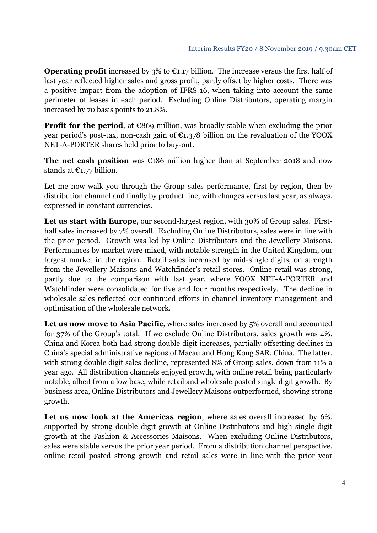**Operating profit** increased by  $3\%$  to  $\epsilon$ 1.17 billion. The increase versus the first half of last year reflected higher sales and gross profit, partly offset by higher costs. There was a positive impact from the adoption of IFRS 16, when taking into account the same perimeter of leases in each period. Excluding Online Distributors, operating margin increased by 70 basis points to 21.8%.

**Profit for the period**, at  $\epsilon$ 869 million, was broadly stable when excluding the prior year period's post-tax, non-cash gain of  $\epsilon_{1,378}$  billion on the revaluation of the YOOX NET-A-PORTER shares held prior to buy-out.

**The net cash position** was €186 million higher than at September 2018 and now stands at  $\mathbb{C}1.77$  billion.

Let me now walk you through the Group sales performance, first by region, then by distribution channel and finally by product line, with changes versus last year, as always, expressed in constant currencies.

Let us start with Europe, our second-largest region, with 30% of Group sales. Firsthalf sales increased by 7% overall. Excluding Online Distributors, sales were in line with the prior period. Growth was led by Online Distributors and the Jewellery Maisons. Performances by market were mixed, with notable strength in the United Kingdom, our largest market in the region. Retail sales increased by mid-single digits, on strength from the Jewellery Maisons and Watchfinder's retail stores. Online retail was strong, partly due to the comparison with last year, where YOOX NET-A-PORTER and Watchfinder were consolidated for five and four months respectively. The decline in wholesale sales reflected our continued efforts in channel inventory management and optimisation of the wholesale network.

**Let us now move to Asia Pacific**, where sales increased by 5% overall and accounted for 37% of the Group's total. If we exclude Online Distributors, sales growth was 4%. China and Korea both had strong double digit increases, partially offsetting declines in China's special administrative regions of Macau and Hong Kong SAR, China. The latter, with strong double digit sales decline, represented 8% of Group sales, down from 11% a year ago. All distribution channels enjoyed growth, with online retail being particularly notable, albeit from a low base, while retail and wholesale posted single digit growth. By business area, Online Distributors and Jewellery Maisons outperformed, showing strong growth.

**Let us now look at the Americas region**, where sales overall increased by 6%, supported by strong double digit growth at Online Distributors and high single digit growth at the Fashion & Accessories Maisons. When excluding Online Distributors, sales were stable versus the prior year period. From a distribution channel perspective, online retail posted strong growth and retail sales were in line with the prior year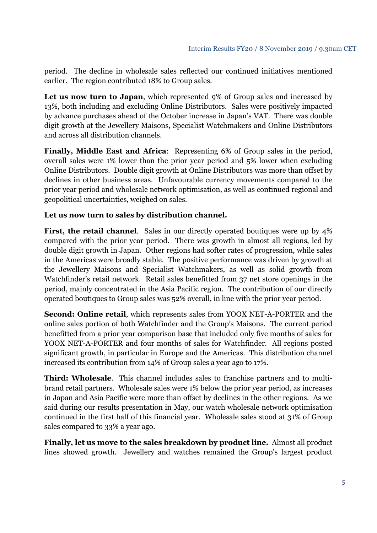period. The decline in wholesale sales reflected our continued initiatives mentioned earlier. The region contributed 18% to Group sales.

**Let us now turn to Japan**, which represented 9% of Group sales and increased by 13%, both including and excluding Online Distributors. Sales were positively impacted by advance purchases ahead of the October increase in Japan's VAT. There was double digit growth at the Jewellery Maisons, Specialist Watchmakers and Online Distributors and across all distribution channels.

**Finally, Middle East and Africa**: Representing 6% of Group sales in the period, overall sales were 1% lower than the prior year period and 5% lower when excluding Online Distributors. Double digit growth at Online Distributors was more than offset by declines in other business areas. Unfavourable currency movements compared to the prior year period and wholesale network optimisation, as well as continued regional and geopolitical uncertainties, weighed on sales.

## **Let us now turn to sales by distribution channel.**

First, the retail channel. Sales in our directly operated boutiques were up by  $4\%$ compared with the prior year period. There was growth in almost all regions, led by double digit growth in Japan. Other regions had softer rates of progression, while sales in the Americas were broadly stable. The positive performance was driven by growth at the Jewellery Maisons and Specialist Watchmakers, as well as solid growth from Watchfinder's retail network. Retail sales benefitted from 37 net store openings in the period, mainly concentrated in the Asia Pacific region. The contribution of our directly operated boutiques to Group sales was 52% overall, in line with the prior year period.

**Second: Online retail**, which represents sales from YOOX NET-A-PORTER and the online sales portion of both Watchfinder and the Group's Maisons. The current period benefitted from a prior year comparison base that included only five months of sales for YOOX NET-A-PORTER and four months of sales for Watchfinder. All regions posted significant growth, in particular in Europe and the Americas. This distribution channel increased its contribution from 14% of Group sales a year ago to 17%.

**Third: Wholesale**. This channel includes sales to franchise partners and to multibrand retail partners. Wholesale sales were 1% below the prior year period, as increases in Japan and Asia Pacific were more than offset by declines in the other regions. As we said during our results presentation in May, our watch wholesale network optimisation continued in the first half of this financial year. Wholesale sales stood at 31% of Group sales compared to 33% a year ago.

**Finally, let us move to the sales breakdown by product line.** Almost all product lines showed growth. Jewellery and watches remained the Group's largest product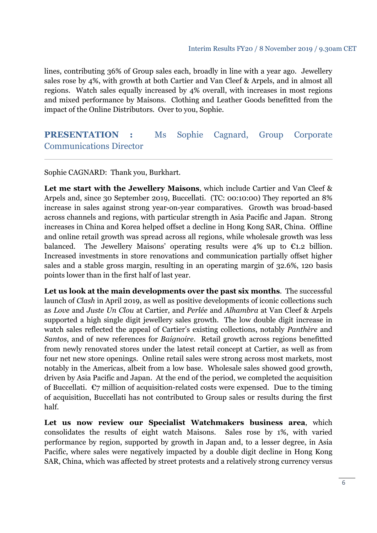lines, contributing 36% of Group sales each, broadly in line with a year ago. Jewellery sales rose by 4%, with growth at both Cartier and Van Cleef & Arpels, and in almost all regions. Watch sales equally increased by 4% overall, with increases in most regions and mixed performance by Maisons. Clothing and Leather Goods benefitted from the impact of the Online Distributors. Over to you, Sophie.

# **PRESENTATION :** Ms Sophie Cagnard, Group Corporate Communications Director

Sophie CAGNARD: Thank you, Burkhart.

**Let me start with the Jewellery Maisons**, which include Cartier and Van Cleef & Arpels and, since 30 September 2019, Buccellati. (TC: 00:10:00) They reported an 8% increase in sales against strong year-on-year comparatives. Growth was broad-based across channels and regions, with particular strength in Asia Pacific and Japan. Strong increases in China and Korea helped offset a decline in Hong Kong SAR, China. Offline and online retail growth was spread across all regions, while wholesale growth was less balanced. The Jewellery Maisons' operating results were 4% up to  $\epsilon_{1,2}$  billion. Increased investments in store renovations and communication partially offset higher sales and a stable gross margin, resulting in an operating margin of 32.6%, 120 basis points lower than in the first half of last year.

**Let us look at the main developments over the past six months**. The successful launch of *Clash* in April 2019, as well as positive developments of iconic collections such as *Love* and *Juste Un Clou* at Cartier, and *Perlée* and *Alhambra* at Van Cleef & Arpels supported a high single digit jewellery sales growth. The low double digit increase in watch sales reflected the appeal of Cartier's existing collections, notably *Panthère* and *Santos*, and of new references for *Baignoire*. Retail growth across regions benefitted from newly renovated stores under the latest retail concept at Cartier, as well as from four net new store openings. Online retail sales were strong across most markets, most notably in the Americas, albeit from a low base. Wholesale sales showed good growth, driven by Asia Pacific and Japan. At the end of the period, we completed the acquisition of Buccellati.  $\epsilon$ 7 million of acquisition-related costs were expensed. Due to the timing of acquisition, Buccellati has not contributed to Group sales or results during the first half.

**Let us now review our Specialist Watchmakers business area**, which consolidates the results of eight watch Maisons. Sales rose by 1%, with varied performance by region, supported by growth in Japan and, to a lesser degree, in Asia Pacific, where sales were negatively impacted by a double digit decline in Hong Kong SAR, China, which was affected by street protests and a relatively strong currency versus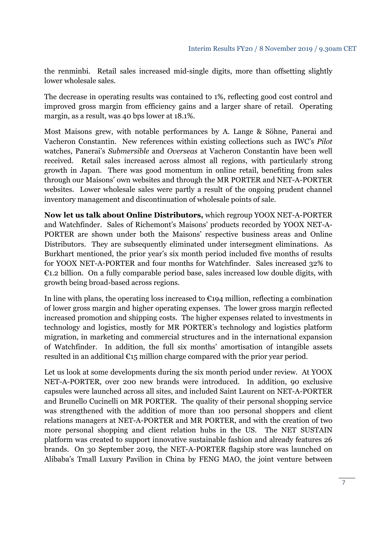the renminbi. Retail sales increased mid-single digits, more than offsetting slightly lower wholesale sales.

The decrease in operating results was contained to 1%, reflecting good cost control and improved gross margin from efficiency gains and a larger share of retail. Operating margin, as a result, was 40 bps lower at 18.1%.

Most Maisons grew, with notable performances by A. Lange & Söhne, Panerai and Vacheron Constantin. New references within existing collections such as IWC's *Pilot* watches, Panerai's *Submersible* and *Overseas* at Vacheron Constantin have been well received. Retail sales increased across almost all regions, with particularly strong growth in Japan. There was good momentum in online retail, benefiting from sales through our Maisons' own websites and through the MR PORTER and NET-A-PORTER websites. Lower wholesale sales were partly a result of the ongoing prudent channel inventory management and discontinuation of wholesale points of sale.

**Now let us talk about Online Distributors,** which regroup YOOX NET-A-PORTER and Watchfinder. Sales of Richemont's Maisons' products recorded by YOOX NET-A-PORTER are shown under both the Maisons' respective business areas and Online Distributors. They are subsequently eliminated under intersegment eliminations. As Burkhart mentioned, the prior year's six month period included five months of results for YOOX NET-A-PORTER and four months for Watchfinder. Sales increased 32% to  $E1.2$  billion. On a fully comparable period base, sales increased low double digits, with growth being broad-based across regions.

In line with plans, the operating loss increased to  $\epsilon$ 194 million, reflecting a combination of lower gross margin and higher operating expenses. The lower gross margin reflected increased promotion and shipping costs. The higher expenses related to investments in technology and logistics, mostly for MR PORTER's technology and logistics platform migration, in marketing and commercial structures and in the international expansion of Watchfinder. In addition, the full six months' amortisation of intangible assets resulted in an additional  $\epsilon_{15}$  million charge compared with the prior year period.

Let us look at some developments during the six month period under review. At YOOX NET-A-PORTER, over 200 new brands were introduced. In addition, 90 exclusive capsules were launched across all sites, and included Saint Laurent on NET-A-PORTER and Brunello Cucinelli on MR PORTER. The quality of their personal shopping service was strengthened with the addition of more than 100 personal shoppers and client relations managers at NET-A-PORTER and MR PORTER, and with the creation of two more personal shopping and client relation hubs in the US. The NET SUSTAIN platform was created to support innovative sustainable fashion and already features 26 brands. On 30 September 2019, the NET-A-PORTER flagship store was launched on Alibaba's Tmall Luxury Pavilion in China by FENG MAO, the joint venture between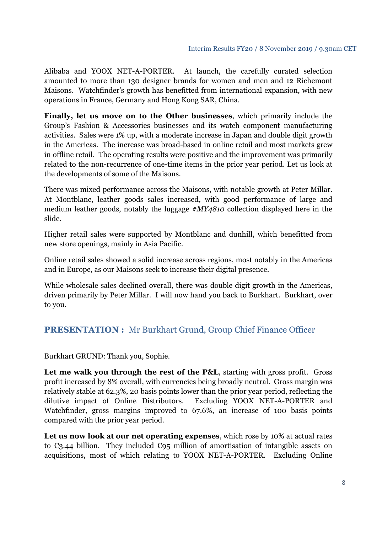Alibaba and YOOX NET-A-PORTER. At launch, the carefully curated selection amounted to more than 130 designer brands for women and men and 12 Richemont Maisons. Watchfinder's growth has benefitted from international expansion, with new operations in France, Germany and Hong Kong SAR, China.

**Finally, let us move on to the Other businesses**, which primarily include the Group's Fashion & Accessories businesses and its watch component manufacturing activities. Sales were 1% up, with a moderate increase in Japan and double digit growth in the Americas. The increase was broad-based in online retail and most markets grew in offline retail. The operating results were positive and the improvement was primarily related to the non-recurrence of one-time items in the prior year period. Let us look at the developments of some of the Maisons.

There was mixed performance across the Maisons, with notable growth at Peter Millar. At Montblanc, leather goods sales increased, with good performance of large and medium leather goods, notably the luggage *#MY4810* collection displayed here in the slide.

Higher retail sales were supported by Montblanc and dunhill, which benefitted from new store openings, mainly in Asia Pacific.

Online retail sales showed a solid increase across regions, most notably in the Americas and in Europe, as our Maisons seek to increase their digital presence.

While wholesale sales declined overall, there was double digit growth in the Americas, driven primarily by Peter Millar. I will now hand you back to Burkhart. Burkhart, over to you.

# **PRESENTATION :** Mr Burkhart Grund, Group Chief Finance Officer

Burkhart GRUND: Thank you, Sophie.

Let me walk you through the rest of the P&L, starting with gross profit. Gross profit increased by 8% overall, with currencies being broadly neutral. Gross margin was relatively stable at 62.3%, 20 basis points lower than the prior year period, reflecting the dilutive impact of Online Distributors. Excluding YOOX NET-A-PORTER and Watchfinder, gross margins improved to 67.6%, an increase of 100 basis points compared with the prior year period.

**Let us now look at our net operating expenses**, which rose by 10% at actual rates to  $\epsilon$ 3.44 billion. They included  $\epsilon$ 95 million of amortisation of intangible assets on acquisitions, most of which relating to YOOX NET-A-PORTER. Excluding Online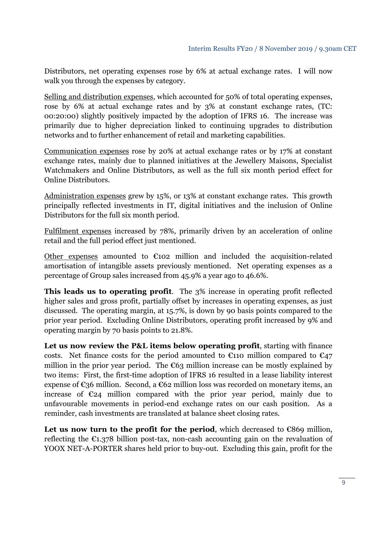Distributors, net operating expenses rose by 6% at actual exchange rates. I will now walk you through the expenses by category.

Selling and distribution expenses, which accounted for 50% of total operating expenses, rose by 6% at actual exchange rates and by 3% at constant exchange rates, (TC: 00:20:00) slightly positively impacted by the adoption of IFRS 16. The increase was primarily due to higher depreciation linked to continuing upgrades to distribution networks and to further enhancement of retail and marketing capabilities.

Communication expenses rose by 20% at actual exchange rates or by 17% at constant exchange rates, mainly due to planned initiatives at the Jewellery Maisons, Specialist Watchmakers and Online Distributors, as well as the full six month period effect for Online Distributors.

Administration expenses grew by 15%, or 13% at constant exchange rates. This growth principally reflected investments in IT, digital initiatives and the inclusion of Online Distributors for the full six month period.

Fulfilment expenses increased by 78%, primarily driven by an acceleration of online retail and the full period effect just mentioned.

Other expenses amounted to  $\epsilon$ 102 million and included the acquisition-related amortisation of intangible assets previously mentioned. Net operating expenses as a percentage of Group sales increased from 45.9% a year ago to 46.6%.

**This leads us to operating profit**. The 3% increase in operating profit reflected higher sales and gross profit, partially offset by increases in operating expenses, as just discussed. The operating margin, at 15.7%, is down by 90 basis points compared to the prior year period. Excluding Online Distributors, operating profit increased by 9% and operating margin by 70 basis points to 21.8%.

**Let us now review the P&L items below operating profit**, starting with finance costs. Net finance costs for the period amounted to  $\epsilon$ 110 million compared to  $\epsilon$ 47 million in the prior year period. The  $\epsilon$ 63 million increase can be mostly explained by two items: First, the first-time adoption of IFRS 16 resulted in a lease liability interest expense of  $\epsilon$ 36 million. Second, a  $\epsilon$ 62 million loss was recorded on monetary items, an increase of  $\epsilon_{24}$  million compared with the prior year period, mainly due to unfavourable movements in period-end exchange rates on our cash position. As a reminder, cash investments are translated at balance sheet closing rates.

Let us now turn to the profit for the period, which decreased to  $\epsilon$ 869 million, reflecting the  $\epsilon_{1,378}$  billion post-tax, non-cash accounting gain on the revaluation of YOOX NET-A-PORTER shares held prior to buy-out. Excluding this gain, profit for the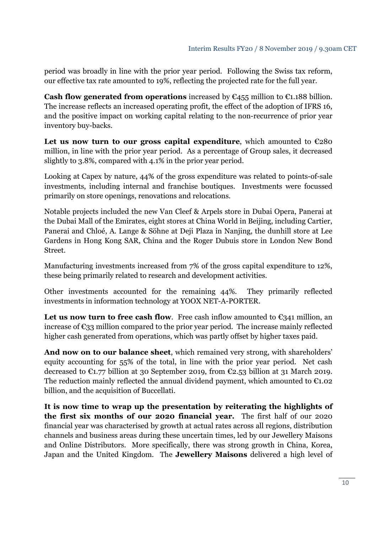period was broadly in line with the prior year period. Following the Swiss tax reform, our effective tax rate amounted to 19%, reflecting the projected rate for the full year.

**Cash flow generated from operations** increased by  $\epsilon_{455}$  million to  $\epsilon_{1.188}$  billion. The increase reflects an increased operating profit, the effect of the adoption of IFRS 16, and the positive impact on working capital relating to the non-recurrence of prior year inventory buy-backs.

Let us now turn to our gross capital expenditure, which amounted to  $\epsilon$ 280 million, in line with the prior year period. As a percentage of Group sales, it decreased slightly to 3.8%, compared with 4.1% in the prior year period.

Looking at Capex by nature, 44% of the gross expenditure was related to points-of-sale investments, including internal and franchise boutiques. Investments were focussed primarily on store openings, renovations and relocations.

Notable projects included the new Van Cleef & Arpels store in Dubai Opera, Panerai at the Dubai Mall of the Emirates, eight stores at China World in Beijing, including Cartier, Panerai and Chloé, A. Lange & Söhne at Deji Plaza in Nanjing, the dunhill store at Lee Gardens in Hong Kong SAR, China and the Roger Dubuis store in London New Bond Street.

Manufacturing investments increased from 7% of the gross capital expenditure to 12%, these being primarily related to research and development activities.

Other investments accounted for the remaining 44%. They primarily reflected investments in information technology at YOOX NET-A-PORTER.

Let us now turn to free cash flow. Free cash inflow amounted to  $\epsilon_{341}$  million, an increase of  $\epsilon_{33}$  million compared to the prior year period. The increase mainly reflected higher cash generated from operations, which was partly offset by higher taxes paid.

**And now on to our balance sheet**, which remained very strong, with shareholders' equity accounting for 55% of the total, in line with the prior year period. Net cash decreased to  $\epsilon_{1.77}$  billion at 30 September 2019, from  $\epsilon_{2.53}$  billion at 31 March 2019. The reduction mainly reflected the annual dividend payment, which amounted to  $\epsilon_{1.02}$ billion, and the acquisition of Buccellati.

**It is now time to wrap up the presentation by reiterating the highlights of the first six months of our 2020 financial year.** The first half of our 2020 financial year was characterised by growth at actual rates across all regions, distribution channels and business areas during these uncertain times, led by our Jewellery Maisons and Online Distributors. More specifically, there was strong growth in China, Korea, Japan and the United Kingdom. The **Jewellery Maisons** delivered a high level of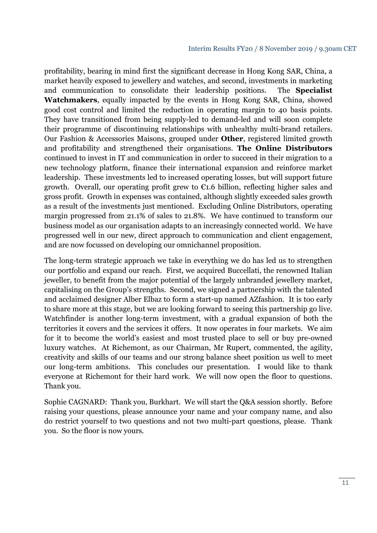profitability, bearing in mind first the significant decrease in Hong Kong SAR, China, a market heavily exposed to jewellery and watches, and second, investments in marketing and communication to consolidate their leadership positions. The **Specialist Watchmakers**, equally impacted by the events in Hong Kong SAR, China, showed good cost control and limited the reduction in operating margin to 40 basis points. They have transitioned from being supply-led to demand-led and will soon complete their programme of discontinuing relationships with unhealthy multi-brand retailers. Our Fashion & Accessories Maisons, grouped under **Other**, registered limited growth and profitability and strengthened their organisations. **The Online Distributors** continued to invest in IT and communication in order to succeed in their migration to a new technology platform, finance their international expansion and reinforce market leadership. These investments led to increased operating losses, but will support future growth. Overall, our operating profit grew to  $\epsilon$ 1.6 billion, reflecting higher sales and gross profit. Growth in expenses was contained, although slightly exceeded sales growth as a result of the investments just mentioned. Excluding Online Distributors, operating margin progressed from 21.1% of sales to 21.8%. We have continued to transform our business model as our organisation adapts to an increasingly connected world. We have progressed well in our new, direct approach to communication and client engagement, and are now focussed on developing our omnichannel proposition.

The long-term strategic approach we take in everything we do has led us to strengthen our portfolio and expand our reach. First, we acquired Buccellati, the renowned Italian jeweller, to benefit from the major potential of the largely unbranded jewellery market, capitalising on the Group's strengths. Second, we signed a partnership with the talented and acclaimed designer Alber Elbaz to form a start-up named AZfashion. It is too early to share more at this stage, but we are looking forward to seeing this partnership go live. Watchfinder is another long-term investment, with a gradual expansion of both the territories it covers and the services it offers. It now operates in four markets. We aim for it to become the world's easiest and most trusted place to sell or buy pre-owned luxury watches. At Richemont, as our Chairman, Mr Rupert, commented, the agility, creativity and skills of our teams and our strong balance sheet position us well to meet our long-term ambitions. This concludes our presentation. I would like to thank everyone at Richemont for their hard work. We will now open the floor to questions. Thank you.

Sophie CAGNARD: Thank you, Burkhart. We will start the Q&A session shortly. Before raising your questions, please announce your name and your company name, and also do restrict yourself to two questions and not two multi-part questions, please. Thank you. So the floor is now yours.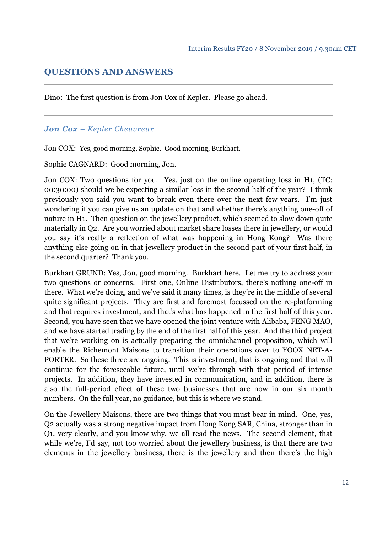# **QUESTIONS AND ANSWERS**

Dino: The first question is from Jon Cox of Kepler. Please go ahead.

### *Jon Cox – Kepler Cheuvreux*

Jon COX: Yes, good morning, Sophie. Good morning, Burkhart.

Sophie CAGNARD: Good morning, Jon.

Jon COX: Two questions for you. Yes, just on the online operating loss in H1, (TC: 00:30:00) should we be expecting a similar loss in the second half of the year? I think previously you said you want to break even there over the next few years. I'm just wondering if you can give us an update on that and whether there's anything one-off of nature in H1. Then question on the jewellery product, which seemed to slow down quite materially in Q2. Are you worried about market share losses there in jewellery, or would you say it's really a reflection of what was happening in Hong Kong? Was there anything else going on in that jewellery product in the second part of your first half, in the second quarter? Thank you.

Burkhart GRUND: Yes, Jon, good morning. Burkhart here. Let me try to address your two questions or concerns. First one, Online Distributors, there's nothing one-off in there. What we're doing, and we've said it many times, is they're in the middle of several quite significant projects. They are first and foremost focussed on the re-platforming and that requires investment, and that's what has happened in the first half of this year. Second, you have seen that we have opened the joint venture with Alibaba, FENG MAO, and we have started trading by the end of the first half of this year. And the third project that we're working on is actually preparing the omnichannel proposition, which will enable the Richemont Maisons to transition their operations over to YOOX NET-A-PORTER. So these three are ongoing. This is investment, that is ongoing and that will continue for the foreseeable future, until we're through with that period of intense projects. In addition, they have invested in communication, and in addition, there is also the full-period effect of these two businesses that are now in our six month numbers. On the full year, no guidance, but this is where we stand.

On the Jewellery Maisons, there are two things that you must bear in mind. One, yes, Q2 actually was a strong negative impact from Hong Kong SAR, China, stronger than in Q1, very clearly, and you know why, we all read the news. The second element, that while we're, I'd say, not too worried about the jewellery business, is that there are two elements in the jewellery business, there is the jewellery and then there's the high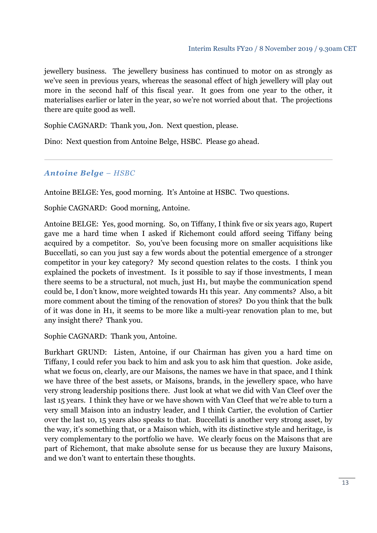jewellery business. The jewellery business has continued to motor on as strongly as we've seen in previous years, whereas the seasonal effect of high jewellery will play out more in the second half of this fiscal year. It goes from one year to the other, it materialises earlier or later in the year, so we're not worried about that. The projections there are quite good as well.

Sophie CAGNARD: Thank you, Jon. Next question, please.

Dino: Next question from Antoine Belge, HSBC. Please go ahead.

#### *Antoine Belge – HSBC*

Antoine BELGE: Yes, good morning. It's Antoine at HSBC. Two questions.

Sophie CAGNARD: Good morning, Antoine.

Antoine BELGE: Yes, good morning. So, on Tiffany, I think five or six years ago, Rupert gave me a hard time when I asked if Richemont could afford seeing Tiffany being acquired by a competitor. So, you've been focusing more on smaller acquisitions like Buccellati, so can you just say a few words about the potential emergence of a stronger competitor in your key category? My second question relates to the costs. I think you explained the pockets of investment. Is it possible to say if those investments, I mean there seems to be a structural, not much, just H1, but maybe the communication spend could be, I don't know, more weighted towards H1 this year. Any comments? Also, a bit more comment about the timing of the renovation of stores? Do you think that the bulk of it was done in H1, it seems to be more like a multi-year renovation plan to me, but any insight there? Thank you.

Sophie CAGNARD: Thank you, Antoine.

Burkhart GRUND: Listen, Antoine, if our Chairman has given you a hard time on Tiffany, I could refer you back to him and ask you to ask him that question. Joke aside, what we focus on, clearly, are our Maisons, the names we have in that space, and I think we have three of the best assets, or Maisons, brands, in the jewellery space, who have very strong leadership positions there. Just look at what we did with Van Cleef over the last 15 years. I think they have or we have shown with Van Cleef that we're able to turn a very small Maison into an industry leader, and I think Cartier, the evolution of Cartier over the last 10, 15 years also speaks to that. Buccellati is another very strong asset, by the way, it's something that, or a Maison which, with its distinctive style and heritage, is very complementary to the portfolio we have. We clearly focus on the Maisons that are part of Richemont, that make absolute sense for us because they are luxury Maisons, and we don't want to entertain these thoughts.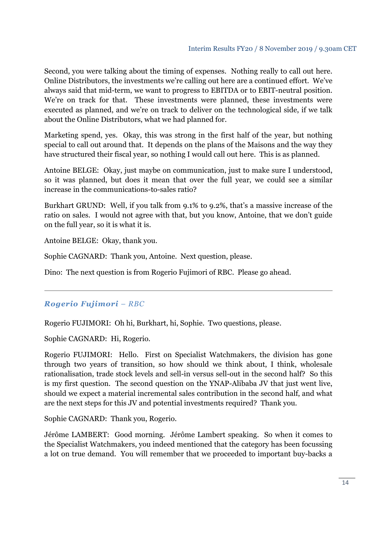Second, you were talking about the timing of expenses. Nothing really to call out here. Online Distributors, the investments we're calling out here are a continued effort. We've always said that mid-term, we want to progress to EBITDA or to EBIT-neutral position. We're on track for that. These investments were planned, these investments were executed as planned, and we're on track to deliver on the technological side, if we talk about the Online Distributors, what we had planned for.

Marketing spend, yes. Okay, this was strong in the first half of the year, but nothing special to call out around that. It depends on the plans of the Maisons and the way they have structured their fiscal year, so nothing I would call out here. This is as planned.

Antoine BELGE: Okay, just maybe on communication, just to make sure I understood, so it was planned, but does it mean that over the full year, we could see a similar increase in the communications-to-sales ratio?

Burkhart GRUND: Well, if you talk from 9.1% to 9.2%, that's a massive increase of the ratio on sales. I would not agree with that, but you know, Antoine, that we don't guide on the full year, so it is what it is.

Antoine BELGE: Okay, thank you.

Sophie CAGNARD: Thank you, Antoine. Next question, please.

Dino: The next question is from Rogerio Fujimori of RBC. Please go ahead.

## *Rogerio Fujimori – RBC*

Rogerio FUJIMORI: Oh hi, Burkhart, hi, Sophie. Two questions, please.

Sophie CAGNARD: Hi, Rogerio.

Rogerio FUJIMORI: Hello. First on Specialist Watchmakers, the division has gone through two years of transition, so how should we think about, I think, wholesale rationalisation, trade stock levels and sell-in versus sell-out in the second half? So this is my first question. The second question on the YNAP-Alibaba JV that just went live, should we expect a material incremental sales contribution in the second half, and what are the next steps for this JV and potential investments required? Thank you.

Sophie CAGNARD: Thank you, Rogerio.

Jérôme LAMBERT: Good morning. Jérôme Lambert speaking. So when it comes to the Specialist Watchmakers, you indeed mentioned that the category has been focussing a lot on true demand. You will remember that we proceeded to important buy-backs a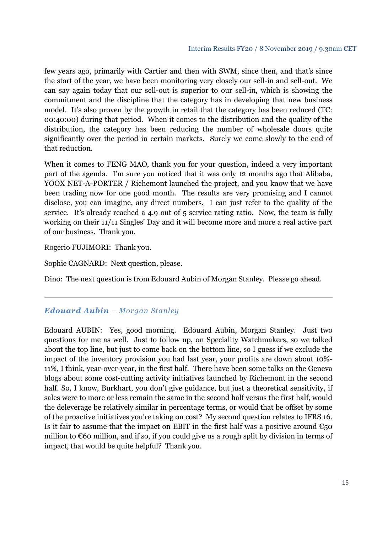few years ago, primarily with Cartier and then with SWM, since then, and that's since the start of the year, we have been monitoring very closely our sell-in and sell-out. We can say again today that our sell-out is superior to our sell-in, which is showing the commitment and the discipline that the category has in developing that new business model. It's also proven by the growth in retail that the category has been reduced (TC: 00:40:00) during that period. When it comes to the distribution and the quality of the distribution, the category has been reducing the number of wholesale doors quite significantly over the period in certain markets. Surely we come slowly to the end of that reduction.

When it comes to FENG MAO, thank you for your question, indeed a very important part of the agenda. I'm sure you noticed that it was only 12 months ago that Alibaba, YOOX NET-A-PORTER / Richemont launched the project, and you know that we have been trading now for one good month. The results are very promising and I cannot disclose, you can imagine, any direct numbers. I can just refer to the quality of the service. It's already reached a 4.9 out of 5 service rating ratio. Now, the team is fully working on their 11/11 Singles' Day and it will become more and more a real active part of our business. Thank you.

Rogerio FUJIMORI: Thank you.

Sophie CAGNARD: Next question, please.

Dino: The next question is from Edouard Aubin of Morgan Stanley. Please go ahead.

#### *Edouard Aubin – Morgan Stanley*

Edouard AUBIN: Yes, good morning. Edouard Aubin, Morgan Stanley. Just two questions for me as well. Just to follow up, on Speciality Watchmakers, so we talked about the top line, but just to come back on the bottom line, so I guess if we exclude the impact of the inventory provision you had last year, your profits are down about 10%- 11%, I think, year-over-year, in the first half. There have been some talks on the Geneva blogs about some cost-cutting activity initiatives launched by Richemont in the second half. So, I know, Burkhart, you don't give guidance, but just a theoretical sensitivity, if sales were to more or less remain the same in the second half versus the first half, would the deleverage be relatively similar in percentage terms, or would that be offset by some of the proactive initiatives you're taking on cost? My second question relates to IFRS 16. Is it fair to assume that the impact on EBIT in the first half was a positive around  $\epsilon_{50}$ million to €60 million, and if so, if you could give us a rough split by division in terms of impact, that would be quite helpful? Thank you.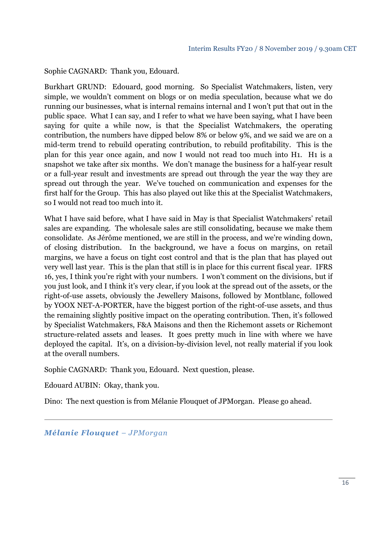Sophie CAGNARD: Thank you, Edouard.

Burkhart GRUND: Edouard, good morning. So Specialist Watchmakers, listen, very simple, we wouldn't comment on blogs or on media speculation, because what we do running our businesses, what is internal remains internal and I won't put that out in the public space. What I can say, and I refer to what we have been saying, what I have been saying for quite a while now, is that the Specialist Watchmakers, the operating contribution, the numbers have dipped below 8% or below 9%, and we said we are on a mid-term trend to rebuild operating contribution, to rebuild profitability. This is the plan for this year once again, and now I would not read too much into H1. H1 is a snapshot we take after six months. We don't manage the business for a half-year result or a full-year result and investments are spread out through the year the way they are spread out through the year. We've touched on communication and expenses for the first half for the Group. This has also played out like this at the Specialist Watchmakers, so I would not read too much into it.

What I have said before, what I have said in May is that Specialist Watchmakers' retail sales are expanding. The wholesale sales are still consolidating, because we make them consolidate. As Jérôme mentioned, we are still in the process, and we're winding down, of closing distribution. In the background, we have a focus on margins, on retail margins, we have a focus on tight cost control and that is the plan that has played out very well last year. This is the plan that still is in place for this current fiscal year. IFRS 16, yes, I think you're right with your numbers. I won't comment on the divisions, but if you just look, and I think it's very clear, if you look at the spread out of the assets, or the right-of-use assets, obviously the Jewellery Maisons, followed by Montblanc, followed by YOOX NET-A-PORTER, have the biggest portion of the right-of-use assets, and thus the remaining slightly positive impact on the operating contribution. Then, it's followed by Specialist Watchmakers, F&A Maisons and then the Richemont assets or Richemont structure-related assets and leases. It goes pretty much in line with where we have deployed the capital. It's, on a division-by-division level, not really material if you look at the overall numbers.

Sophie CAGNARD: Thank you, Edouard. Next question, please.

Edouard AUBIN: Okay, thank you.

Dino: The next question is from Mélanie Flouquet of JPMorgan. Please go ahead.

*Mélanie Flouquet – JPMorgan*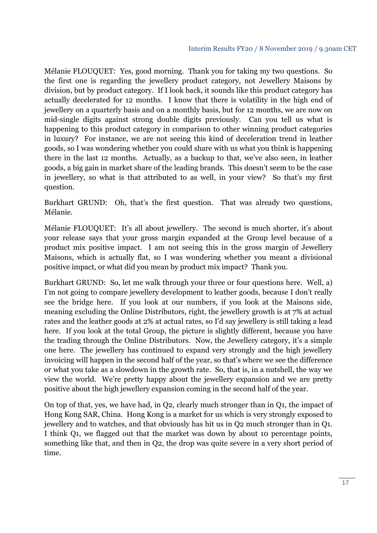Mélanie FLOUQUET: Yes, good morning. Thank you for taking my two questions. So the first one is regarding the jewellery product category, not Jewellery Maisons by division, but by product category. If I look back, it sounds like this product category has actually decelerated for 12 months. I know that there is volatility in the high end of jewellery on a quarterly basis and on a monthly basis, but for 12 months, we are now on mid-single digits against strong double digits previously. Can you tell us what is happening to this product category in comparison to other winning product categories in luxury? For instance, we are not seeing this kind of deceleration trend in leather goods, so I was wondering whether you could share with us what you think is happening there in the last 12 months. Actually, as a backup to that, we've also seen, in leather goods, a big gain in market share of the leading brands. This doesn't seem to be the case in jewellery, so what is that attributed to as well, in your view? So that's my first question.

Burkhart GRUND: Oh, that's the first question. That was already two questions, Mélanie.

Mélanie FLOUQUET: It's all about jewellery. The second is much shorter, it's about your release says that your gross margin expanded at the Group level because of a product mix positive impact. I am not seeing this in the gross margin of Jewellery Maisons, which is actually flat, so I was wondering whether you meant a divisional positive impact, or what did you mean by product mix impact? Thank you.

Burkhart GRUND: So, let me walk through your three or four questions here. Well, a) I'm not going to compare jewellery development to leather goods, because I don't really see the bridge here. If you look at our numbers, if you look at the Maisons side, meaning excluding the Online Distributors, right, the jewellery growth is at 7% at actual rates and the leather goods at 2% at actual rates, so I'd say jewellery is still taking a lead here. If you look at the total Group, the picture is slightly different, because you have the trading through the Online Distributors. Now, the Jewellery category, it's a simple one here. The jewellery has continued to expand very strongly and the high jewellery invoicing will happen in the second half of the year, so that's where we see the difference or what you take as a slowdown in the growth rate. So, that is, in a nutshell, the way we view the world. We're pretty happy about the jewellery expansion and we are pretty positive about the high jewellery expansion coming in the second half of the year.

On top of that, yes, we have had, in Q2, clearly much stronger than in Q1, the impact of Hong Kong SAR, China. Hong Kong is a market for us which is very strongly exposed to jewellery and to watches, and that obviously has hit us in Q2 much stronger than in Q1. I think Q1, we flagged out that the market was down by about 10 percentage points, something like that, and then in Q2, the drop was quite severe in a very short period of time.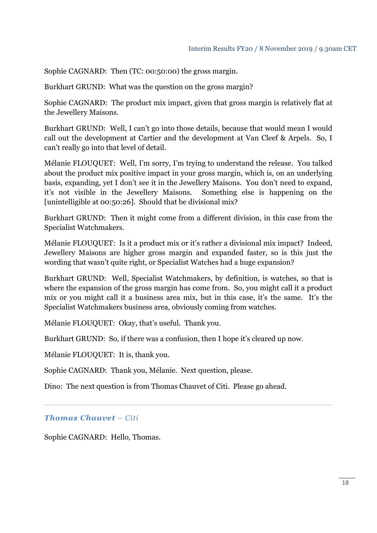Sophie CAGNARD: Then (TC: 00:50:00) the gross margin.

Burkhart GRUND: What was the question on the gross margin?

Sophie CAGNARD: The product mix impact, given that gross margin is relatively flat at the Jewellery Maisons.

Burkhart GRUND: Well, I can't go into those details, because that would mean I would call out the development at Cartier and the development at Van Cleef & Arpels. So, I can't really go into that level of detail.

Mélanie FLOUQUET: Well, I'm sorry, I'm trying to understand the release. You talked about the product mix positive impact in your gross margin, which is, on an underlying basis, expanding, yet I don't see it in the Jewellery Maisons. You don't need to expand, it's not visible in the Jewellery Maisons. Something else is happening on the [unintelligible at 00:50:26]. Should that be divisional mix?

Burkhart GRUND: Then it might come from a different division, in this case from the Specialist Watchmakers.

Mélanie FLOUQUET: Is it a product mix or it's rather a divisional mix impact? Indeed, Jewellery Maisons are higher gross margin and expanded faster, so is this just the wording that wasn't quite right, or Specialist Watches had a huge expansion?

Burkhart GRUND: Well, Specialist Watchmakers, by definition, is watches, so that is where the expansion of the gross margin has come from. So, you might call it a product mix or you might call it a business area mix, but in this case, it's the same. It's the Specialist Watchmakers business area, obviously coming from watches.

Mélanie FLOUQUET: Okay, that's useful. Thank you.

Burkhart GRUND: So, if there was a confusion, then I hope it's cleared up now.

Mélanie FLOUQUET: It is, thank you.

Sophie CAGNARD: Thank you, Mélanie. Next question, please.

Dino: The next question is from Thomas Chauvet of Citi. Please go ahead.

*Thomas Chauvet – Citi* 

Sophie CAGNARD: Hello, Thomas.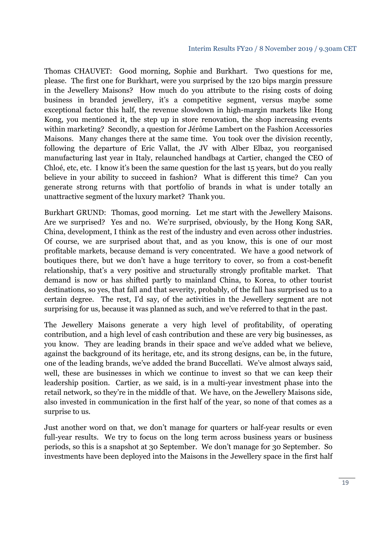#### Interim Results FY20 / 8 November 2019 / 9.30am CET

Thomas CHAUVET: Good morning, Sophie and Burkhart. Two questions for me, please. The first one for Burkhart, were you surprised by the 120 bips margin pressure in the Jewellery Maisons? How much do you attribute to the rising costs of doing business in branded jewellery, it's a competitive segment, versus maybe some exceptional factor this half, the revenue slowdown in high-margin markets like Hong Kong, you mentioned it, the step up in store renovation, the shop increasing events within marketing? Secondly, a question for Jérôme Lambert on the Fashion Accessories Maisons. Many changes there at the same time. You took over the division recently, following the departure of Eric Vallat, the JV with Alber Elbaz, you reorganised manufacturing last year in Italy, relaunched handbags at Cartier, changed the CEO of Chloé, etc, etc. I know it's been the same question for the last 15 years, but do you really believe in your ability to succeed in fashion? What is different this time? Can you generate strong returns with that portfolio of brands in what is under totally an unattractive segment of the luxury market? Thank you.

Burkhart GRUND: Thomas, good morning. Let me start with the Jewellery Maisons. Are we surprised? Yes and no. We're surprised, obviously, by the Hong Kong SAR, China, development, I think as the rest of the industry and even across other industries. Of course, we are surprised about that, and as you know, this is one of our most profitable markets, because demand is very concentrated. We have a good network of boutiques there, but we don't have a huge territory to cover, so from a cost-benefit relationship, that's a very positive and structurally strongly profitable market. That demand is now or has shifted partly to mainland China, to Korea, to other tourist destinations, so yes, that fall and that severity, probably, of the fall has surprised us to a certain degree. The rest, I'd say, of the activities in the Jewellery segment are not surprising for us, because it was planned as such, and we've referred to that in the past.

The Jewellery Maisons generate a very high level of profitability, of operating contribution, and a high level of cash contribution and these are very big businesses, as you know. They are leading brands in their space and we've added what we believe, against the background of its heritage, etc, and its strong designs, can be, in the future, one of the leading brands, we've added the brand Buccellati. We've almost always said, well, these are businesses in which we continue to invest so that we can keep their leadership position. Cartier, as we said, is in a multi-year investment phase into the retail network, so they're in the middle of that. We have, on the Jewellery Maisons side, also invested in communication in the first half of the year, so none of that comes as a surprise to us.

Just another word on that, we don't manage for quarters or half-year results or even full-year results. We try to focus on the long term across business years or business periods, so this is a snapshot at 30 September. We don't manage for 30 September. So investments have been deployed into the Maisons in the Jewellery space in the first half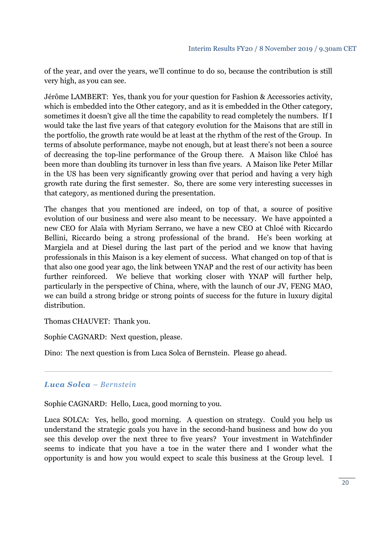of the year, and over the years, we'll continue to do so, because the contribution is still very high, as you can see.

Jérôme LAMBERT: Yes, thank you for your question for Fashion & Accessories activity, which is embedded into the Other category, and as it is embedded in the Other category, sometimes it doesn't give all the time the capability to read completely the numbers. If I would take the last five years of that category evolution for the Maisons that are still in the portfolio, the growth rate would be at least at the rhythm of the rest of the Group. In terms of absolute performance, maybe not enough, but at least there's not been a source of decreasing the top-line performance of the Group there. A Maison like Chloé has been more than doubling its turnover in less than five years. A Maison like Peter Millar in the US has been very significantly growing over that period and having a very high growth rate during the first semester. So, there are some very interesting successes in that category, as mentioned during the presentation.

The changes that you mentioned are indeed, on top of that, a source of positive evolution of our business and were also meant to be necessary. We have appointed a new CEO for Alaïa with Myriam Serrano, we have a new CEO at Chloé with Riccardo Bellini, Riccardo being a strong professional of the brand. He's been working at Margiela and at Diesel during the last part of the period and we know that having professionals in this Maison is a key element of success. What changed on top of that is that also one good year ago, the link between YNAP and the rest of our activity has been further reinforced. We believe that working closer with YNAP will further help, particularly in the perspective of China, where, with the launch of our JV, FENG MAO, we can build a strong bridge or strong points of success for the future in luxury digital distribution.

Thomas CHAUVET: Thank you.

Sophie CAGNARD: Next question, please.

Dino: The next question is from Luca Solca of Bernstein. Please go ahead.

### *Luca Solca – Bernstein*

Sophie CAGNARD: Hello, Luca, good morning to you.

Luca SOLCA: Yes, hello, good morning. A question on strategy. Could you help us understand the strategic goals you have in the second-hand business and how do you see this develop over the next three to five years? Your investment in Watchfinder seems to indicate that you have a toe in the water there and I wonder what the opportunity is and how you would expect to scale this business at the Group level. I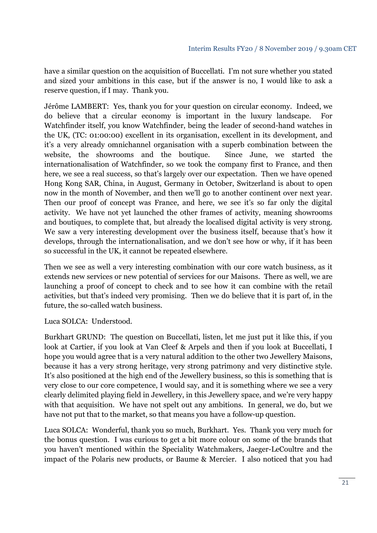have a similar question on the acquisition of Buccellati. I'm not sure whether you stated and sized your ambitions in this case, but if the answer is no, I would like to ask a reserve question, if I may. Thank you.

Jérôme LAMBERT: Yes, thank you for your question on circular economy. Indeed, we do believe that a circular economy is important in the luxury landscape. For Watchfinder itself, you know Watchfinder, being the leader of second-hand watches in the UK, (TC: 01:00:00) excellent in its organisation, excellent in its development, and it's a very already omnichannel organisation with a superb combination between the website, the showrooms and the boutique. Since June, we started the internationalisation of Watchfinder, so we took the company first to France, and then here, we see a real success, so that's largely over our expectation. Then we have opened Hong Kong SAR, China, in August, Germany in October, Switzerland is about to open now in the month of November, and then we'll go to another continent over next year. Then our proof of concept was France, and here, we see it's so far only the digital activity. We have not yet launched the other frames of activity, meaning showrooms and boutiques, to complete that, but already the localised digital activity is very strong. We saw a very interesting development over the business itself, because that's how it develops, through the internationalisation, and we don't see how or why, if it has been so successful in the UK, it cannot be repeated elsewhere.

Then we see as well a very interesting combination with our core watch business, as it extends new services or new potential of services for our Maisons. There as well, we are launching a proof of concept to check and to see how it can combine with the retail activities, but that's indeed very promising. Then we do believe that it is part of, in the future, the so-called watch business.

Luca SOLCA: Understood.

Burkhart GRUND: The question on Buccellati, listen, let me just put it like this, if you look at Cartier, if you look at Van Cleef & Arpels and then if you look at Buccellati, I hope you would agree that is a very natural addition to the other two Jewellery Maisons, because it has a very strong heritage, very strong patrimony and very distinctive style. It's also positioned at the high end of the Jewellery business, so this is something that is very close to our core competence, I would say, and it is something where we see a very clearly delimited playing field in Jewellery, in this Jewellery space, and we're very happy with that acquisition. We have not spelt out any ambitions. In general, we do, but we have not put that to the market, so that means you have a follow-up question.

Luca SOLCA: Wonderful, thank you so much, Burkhart. Yes. Thank you very much for the bonus question. I was curious to get a bit more colour on some of the brands that you haven't mentioned within the Speciality Watchmakers, Jaeger-LeCoultre and the impact of the Polaris new products, or Baume & Mercier. I also noticed that you had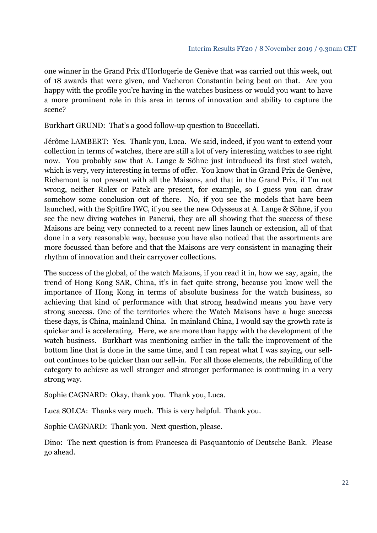one winner in the Grand Prix d'Horlogerie de Genève that was carried out this week, out of 18 awards that were given, and Vacheron Constantin being beat on that. Are you happy with the profile you're having in the watches business or would you want to have a more prominent role in this area in terms of innovation and ability to capture the scene?

Burkhart GRUND: That's a good follow-up question to Buccellati.

Jérôme LAMBERT: Yes. Thank you, Luca. We said, indeed, if you want to extend your collection in terms of watches, there are still a lot of very interesting watches to see right now. You probably saw that A. Lange & Söhne just introduced its first steel watch, which is very, very interesting in terms of offer. You know that in Grand Prix de Genève, Richemont is not present with all the Maisons, and that in the Grand Prix, if I'm not wrong, neither Rolex or Patek are present, for example, so I guess you can draw somehow some conclusion out of there. No, if you see the models that have been launched, with the Spitfire IWC, if you see the new Odysseus at A. Lange & Söhne, if you see the new diving watches in Panerai, they are all showing that the success of these Maisons are being very connected to a recent new lines launch or extension, all of that done in a very reasonable way, because you have also noticed that the assortments are more focussed than before and that the Maisons are very consistent in managing their rhythm of innovation and their carryover collections.

The success of the global, of the watch Maisons, if you read it in, how we say, again, the trend of Hong Kong SAR, China, it's in fact quite strong, because you know well the importance of Hong Kong in terms of absolute business for the watch business, so achieving that kind of performance with that strong headwind means you have very strong success. One of the territories where the Watch Maisons have a huge success these days, is China, mainland China. In mainland China, I would say the growth rate is quicker and is accelerating. Here, we are more than happy with the development of the watch business. Burkhart was mentioning earlier in the talk the improvement of the bottom line that is done in the same time, and I can repeat what I was saying, our sellout continues to be quicker than our sell-in. For all those elements, the rebuilding of the category to achieve as well stronger and stronger performance is continuing in a very strong way.

Sophie CAGNARD: Okay, thank you. Thank you, Luca.

Luca SOLCA: Thanks very much. This is very helpful. Thank you.

Sophie CAGNARD: Thank you. Next question, please.

Dino: The next question is from Francesca di Pasquantonio of Deutsche Bank. Please go ahead.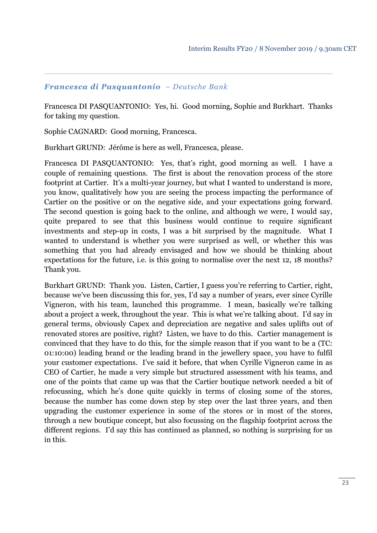#### *Francesca di Pasquantonio – Deutsche Bank*

Francesca DI PASQUANTONIO: Yes, hi. Good morning, Sophie and Burkhart. Thanks for taking my question.

Sophie CAGNARD: Good morning, Francesca.

Burkhart GRUND: Jérôme is here as well, Francesca, please.

Francesca DI PASQUANTONIO: Yes, that's right, good morning as well. I have a couple of remaining questions. The first is about the renovation process of the store footprint at Cartier. It's a multi-year journey, but what I wanted to understand is more, you know, qualitatively how you are seeing the process impacting the performance of Cartier on the positive or on the negative side, and your expectations going forward. The second question is going back to the online, and although we were, I would say, quite prepared to see that this business would continue to require significant investments and step-up in costs, I was a bit surprised by the magnitude. What I wanted to understand is whether you were surprised as well, or whether this was something that you had already envisaged and how we should be thinking about expectations for the future, i.e. is this going to normalise over the next 12, 18 months? Thank you.

Burkhart GRUND: Thank you. Listen, Cartier, I guess you're referring to Cartier, right, because we've been discussing this for, yes, I'd say a number of years, ever since Cyrille Vigneron, with his team, launched this programme. I mean, basically we're talking about a project a week, throughout the year. This is what we're talking about. I'd say in general terms, obviously Capex and depreciation are negative and sales uplifts out of renovated stores are positive, right? Listen, we have to do this. Cartier management is convinced that they have to do this, for the simple reason that if you want to be a (TC: 01:10:00) leading brand or the leading brand in the jewellery space, you have to fulfil your customer expectations. I've said it before, that when Cyrille Vigneron came in as CEO of Cartier, he made a very simple but structured assessment with his teams, and one of the points that came up was that the Cartier boutique network needed a bit of refocussing, which he's done quite quickly in terms of closing some of the stores, because the number has come down step by step over the last three years, and then upgrading the customer experience in some of the stores or in most of the stores, through a new boutique concept, but also focussing on the flagship footprint across the different regions. I'd say this has continued as planned, so nothing is surprising for us in this.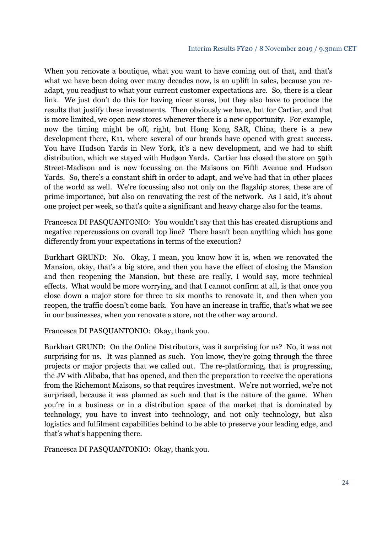When you renovate a boutique, what you want to have coming out of that, and that's what we have been doing over many decades now, is an uplift in sales, because you readapt, you readjust to what your current customer expectations are. So, there is a clear link. We just don't do this for having nicer stores, but they also have to produce the results that justify these investments. Then obviously we have, but for Cartier, and that is more limited, we open new stores whenever there is a new opportunity. For example, now the timing might be off, right, but Hong Kong SAR, China, there is a new development there, K11, where several of our brands have opened with great success. You have Hudson Yards in New York, it's a new development, and we had to shift distribution, which we stayed with Hudson Yards. Cartier has closed the store on 59th Street-Madison and is now focussing on the Maisons on Fifth Avenue and Hudson Yards. So, there's a constant shift in order to adapt, and we've had that in other places of the world as well. We're focussing also not only on the flagship stores, these are of prime importance, but also on renovating the rest of the network. As I said, it's about one project per week, so that's quite a significant and heavy charge also for the teams.

Francesca DI PASQUANTONIO: You wouldn't say that this has created disruptions and negative repercussions on overall top line? There hasn't been anything which has gone differently from your expectations in terms of the execution?

Burkhart GRUND: No. Okay, I mean, you know how it is, when we renovated the Mansion, okay, that's a big store, and then you have the effect of closing the Mansion and then reopening the Mansion, but these are really, I would say, more technical effects. What would be more worrying, and that I cannot confirm at all, is that once you close down a major store for three to six months to renovate it, and then when you reopen, the traffic doesn't come back. You have an increase in traffic, that's what we see in our businesses, when you renovate a store, not the other way around.

Francesca DI PASQUANTONIO: Okay, thank you.

Burkhart GRUND: On the Online Distributors, was it surprising for us? No, it was not surprising for us. It was planned as such. You know, they're going through the three projects or major projects that we called out. The re-platforming, that is progressing, the JV with Alibaba, that has opened, and then the preparation to receive the operations from the Richemont Maisons, so that requires investment. We're not worried, we're not surprised, because it was planned as such and that is the nature of the game. When you're in a business or in a distribution space of the market that is dominated by technology, you have to invest into technology, and not only technology, but also logistics and fulfilment capabilities behind to be able to preserve your leading edge, and that's what's happening there.

Francesca DI PASQUANTONIO: Okay, thank you.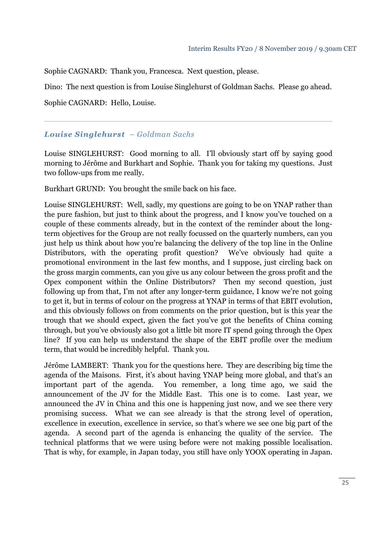Sophie CAGNARD: Thank you, Francesca. Next question, please.

Dino: The next question is from Louise Singlehurst of Goldman Sachs. Please go ahead.

Sophie CAGNARD: Hello, Louise.

## *Louise Singlehurst – Goldman Sachs*

Louise SINGLEHURST: Good morning to all. I'll obviously start off by saying good morning to Jérôme and Burkhart and Sophie. Thank you for taking my questions. Just two follow-ups from me really.

Burkhart GRUND: You brought the smile back on his face.

Louise SINGLEHURST: Well, sadly, my questions are going to be on YNAP rather than the pure fashion, but just to think about the progress, and I know you've touched on a couple of these comments already, but in the context of the reminder about the longterm objectives for the Group are not really focussed on the quarterly numbers, can you just help us think about how you're balancing the delivery of the top line in the Online Distributors, with the operating profit question? We've obviously had quite a promotional environment in the last few months, and I suppose, just circling back on the gross margin comments, can you give us any colour between the gross profit and the Opex component within the Online Distributors? Then my second question, just following up from that, I'm not after any longer-term guidance, I know we're not going to get it, but in terms of colour on the progress at YNAP in terms of that EBIT evolution, and this obviously follows on from comments on the prior question, but is this year the trough that we should expect, given the fact you've got the benefits of China coming through, but you've obviously also got a little bit more IT spend going through the Opex line? If you can help us understand the shape of the EBIT profile over the medium term, that would be incredibly helpful. Thank you.

Jérôme LAMBERT: Thank you for the questions here. They are describing big time the agenda of the Maisons. First, it's about having YNAP being more global, and that's an important part of the agenda. You remember, a long time ago, we said the announcement of the JV for the Middle East. This one is to come. Last year, we announced the JV in China and this one is happening just now, and we see there very promising success. What we can see already is that the strong level of operation, excellence in execution, excellence in service, so that's where we see one big part of the agenda. A second part of the agenda is enhancing the quality of the service. The technical platforms that we were using before were not making possible localisation. That is why, for example, in Japan today, you still have only YOOX operating in Japan.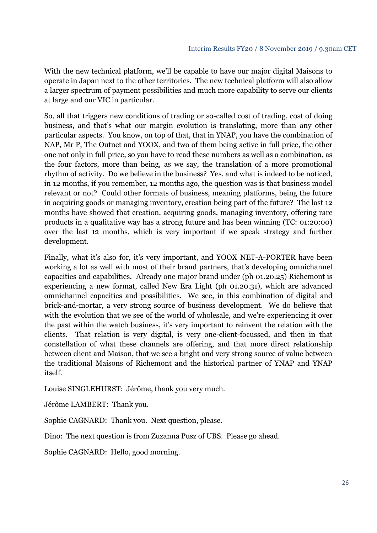With the new technical platform, we'll be capable to have our major digital Maisons to operate in Japan next to the other territories. The new technical platform will also allow a larger spectrum of payment possibilities and much more capability to serve our clients at large and our VIC in particular.

So, all that triggers new conditions of trading or so-called cost of trading, cost of doing business, and that's what our margin evolution is translating, more than any other particular aspects. You know, on top of that, that in YNAP, you have the combination of NAP, Mr P, The Outnet and YOOX, and two of them being active in full price, the other one not only in full price, so you have to read these numbers as well as a combination, as the four factors, more than being, as we say, the translation of a more promotional rhythm of activity. Do we believe in the business? Yes, and what is indeed to be noticed, in 12 months, if you remember, 12 months ago, the question was is that business model relevant or not? Could other formats of business, meaning platforms, being the future in acquiring goods or managing inventory, creation being part of the future? The last 12 months have showed that creation, acquiring goods, managing inventory, offering rare products in a qualitative way has a strong future and has been winning (TC: 01:20:00) over the last 12 months, which is very important if we speak strategy and further development.

Finally, what it's also for, it's very important, and YOOX NET-A-PORTER have been working a lot as well with most of their brand partners, that's developing omnichannel capacities and capabilities. Already one major brand under (ph 01.20.25) Richemont is experiencing a new format, called New Era Light (ph 01.20.31), which are advanced omnichannel capacities and possibilities. We see, in this combination of digital and brick-and-mortar, a very strong source of business development. We do believe that with the evolution that we see of the world of wholesale, and we're experiencing it over the past within the watch business, it's very important to reinvent the relation with the clients. That relation is very digital, is very one-client-focussed, and then in that constellation of what these channels are offering, and that more direct relationship between client and Maison, that we see a bright and very strong source of value between the traditional Maisons of Richemont and the historical partner of YNAP and YNAP itself.

Louise SINGLEHURST: Jérôme, thank you very much.

Jérôme LAMBERT: Thank you.

Sophie CAGNARD: Thank you. Next question, please.

Dino: The next question is from Zuzanna Pusz of UBS. Please go ahead.

Sophie CAGNARD: Hello, good morning.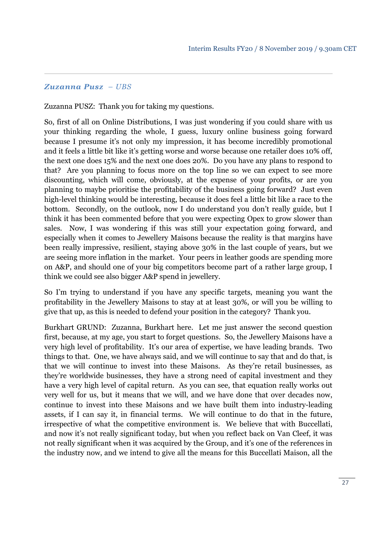#### *Zuzanna Pusz – UBS*

Zuzanna PUSZ: Thank you for taking my questions.

So, first of all on Online Distributions, I was just wondering if you could share with us your thinking regarding the whole, I guess, luxury online business going forward because I presume it's not only my impression, it has become incredibly promotional and it feels a little bit like it's getting worse and worse because one retailer does 10% off, the next one does 15% and the next one does 20%. Do you have any plans to respond to that? Are you planning to focus more on the top line so we can expect to see more discounting, which will come, obviously, at the expense of your profits, or are you planning to maybe prioritise the profitability of the business going forward? Just even high-level thinking would be interesting, because it does feel a little bit like a race to the bottom. Secondly, on the outlook, now I do understand you don't really guide, but I think it has been commented before that you were expecting Opex to grow slower than sales. Now, I was wondering if this was still your expectation going forward, and especially when it comes to Jewellery Maisons because the reality is that margins have been really impressive, resilient, staying above 30% in the last couple of years, but we are seeing more inflation in the market. Your peers in leather goods are spending more on A&P, and should one of your big competitors become part of a rather large group, I think we could see also bigger A&P spend in jewellery.

So I'm trying to understand if you have any specific targets, meaning you want the profitability in the Jewellery Maisons to stay at at least 30%, or will you be willing to give that up, as this is needed to defend your position in the category? Thank you.

Burkhart GRUND: Zuzanna, Burkhart here. Let me just answer the second question first, because, at my age, you start to forget questions. So, the Jewellery Maisons have a very high level of profitability. It's our area of expertise, we have leading brands. Two things to that. One, we have always said, and we will continue to say that and do that, is that we will continue to invest into these Maisons. As they're retail businesses, as they're worldwide businesses, they have a strong need of capital investment and they have a very high level of capital return. As you can see, that equation really works out very well for us, but it means that we will, and we have done that over decades now, continue to invest into these Maisons and we have built them into industry-leading assets, if I can say it, in financial terms. We will continue to do that in the future, irrespective of what the competitive environment is. We believe that with Buccellati, and now it's not really significant today, but when you reflect back on Van Cleef, it was not really significant when it was acquired by the Group, and it's one of the references in the industry now, and we intend to give all the means for this Buccellati Maison, all the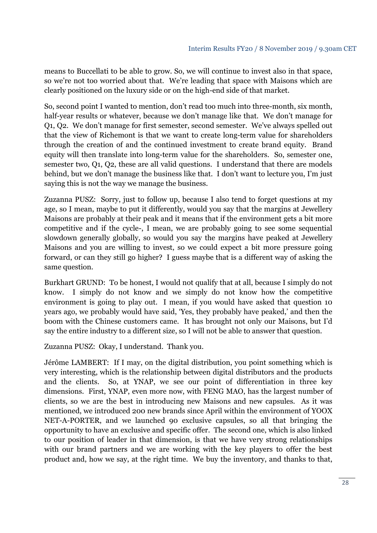means to Buccellati to be able to grow. So, we will continue to invest also in that space, so we're not too worried about that. We're leading that space with Maisons which are clearly positioned on the luxury side or on the high-end side of that market.

So, second point I wanted to mention, don't read too much into three-month, six month, half-year results or whatever, because we don't manage like that. We don't manage for Q1, Q2. We don't manage for first semester, second semester. We've always spelled out that the view of Richemont is that we want to create long-term value for shareholders through the creation of and the continued investment to create brand equity. Brand equity will then translate into long-term value for the shareholders. So, semester one, semester two, Q1, Q2, these are all valid questions. I understand that there are models behind, but we don't manage the business like that. I don't want to lecture you, I'm just saying this is not the way we manage the business.

Zuzanna PUSZ: Sorry, just to follow up, because I also tend to forget questions at my age, so I mean, maybe to put it differently, would you say that the margins at Jewellery Maisons are probably at their peak and it means that if the environment gets a bit more competitive and if the cycle-, I mean, we are probably going to see some sequential slowdown generally globally, so would you say the margins have peaked at Jewellery Maisons and you are willing to invest, so we could expect a bit more pressure going forward, or can they still go higher? I guess maybe that is a different way of asking the same question.

Burkhart GRUND: To be honest, I would not qualify that at all, because I simply do not know. I simply do not know and we simply do not know how the competitive environment is going to play out. I mean, if you would have asked that question 10 years ago, we probably would have said, 'Yes, they probably have peaked,' and then the boom with the Chinese customers came. It has brought not only our Maisons, but I'd say the entire industry to a different size, so I will not be able to answer that question.

Zuzanna PUSZ: Okay, I understand. Thank you.

Jérôme LAMBERT: If I may, on the digital distribution, you point something which is very interesting, which is the relationship between digital distributors and the products and the clients. So, at YNAP, we see our point of differentiation in three key dimensions. First, YNAP, even more now, with FENG MAO, has the largest number of clients, so we are the best in introducing new Maisons and new capsules. As it was mentioned, we introduced 200 new brands since April within the environment of YOOX NET-A-PORTER, and we launched 90 exclusive capsules, so all that bringing the opportunity to have an exclusive and specific offer. The second one, which is also linked to our position of leader in that dimension, is that we have very strong relationships with our brand partners and we are working with the key players to offer the best product and, how we say, at the right time. We buy the inventory, and thanks to that,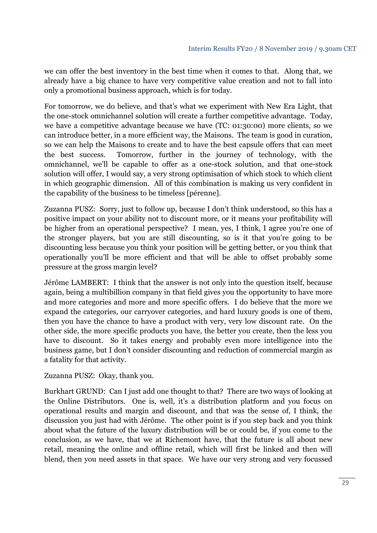we can offer the best inventory in the best time when it comes to that. Along that, we already have a big chance to have very competitive value creation and not to fall into only a promotional business approach, which is for today.

For tomorrow, we do believe, and that's what we experiment with New Era Light, that the one-stock omnichannel solution will create a further competitive advantage. Today, we have a competitive advantage because we have (TC: 01:30:00) more clients, so we can introduce better, in a more efficient way, the Maisons. The team is good in curation, so we can help the Maisons to create and to have the best capsule offers that can meet the best success. Tomorrow, further in the journey of technology, with the omnichannel, we'll be capable to offer as a one-stock solution, and that one-stock solution will offer, I would say, a very strong optimisation of which stock to which client in which geographic dimension. All of this combination is making us very confident in the capability of the business to be timeless [pérenne].

Zuzanna PUSZ: Sorry, just to follow up, because I don't think understood, so this has a positive impact on your ability not to discount more, or it means your profitability will be higher from an operational perspective? I mean, yes, I think, I agree you're one of the stronger players, but you are still discounting, so is it that you're going to be discounting less because you think your position will be getting better, or you think that operationally you'll be more efficient and that will be able to offset probably some pressure at the gross margin level?

Jérôme LAMBERT: I think that the answer is not only into the question itself, because again, being a multibillion company in that field gives you the opportunity to have more and more categories and more and more specific offers. I do believe that the more we expand the categories, our carryover categories, and hard luxury goods is one of them, then you have the chance to have a product with very, very low discount rate. On the other side, the more specific products you have, the better you create, then the less you have to discount. So it takes energy and probably even more intelligence into the business game, but I don't consider discounting and reduction of commercial margin as a fatality for that activity.

Zuzanna PUSZ: Okay, thank you.

Burkhart GRUND: Can I just add one thought to that? There are two ways of looking at the Online Distributors. One is, well, it's a distribution platform and you focus on operational results and margin and discount, and that was the sense of, I think, the discussion you just had with Jérôme. The other point is if you step back and you think about what the future of the luxury distribution will be or could be, if you come to the conclusion, as we have, that we at Richemont have, that the future is all about new retail, meaning the online and offline retail, which will first be linked and then will blend, then you need assets in that space. We have our very strong and very focussed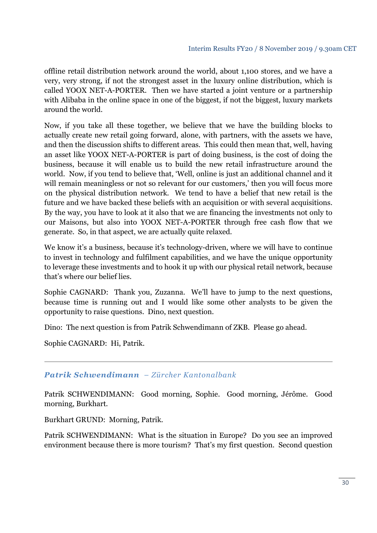offline retail distribution network around the world, about 1,100 stores, and we have a very, very strong, if not the strongest asset in the luxury online distribution, which is called YOOX NET-A-PORTER. Then we have started a joint venture or a partnership with Alibaba in the online space in one of the biggest, if not the biggest, luxury markets around the world.

Now, if you take all these together, we believe that we have the building blocks to actually create new retail going forward, alone, with partners, with the assets we have, and then the discussion shifts to different areas. This could then mean that, well, having an asset like YOOX NET-A-PORTER is part of doing business, is the cost of doing the business, because it will enable us to build the new retail infrastructure around the world. Now, if you tend to believe that, 'Well, online is just an additional channel and it will remain meaningless or not so relevant for our customers,' then you will focus more on the physical distribution network. We tend to have a belief that new retail is the future and we have backed these beliefs with an acquisition or with several acquisitions. By the way, you have to look at it also that we are financing the investments not only to our Maisons, but also into YOOX NET-A-PORTER through free cash flow that we generate. So, in that aspect, we are actually quite relaxed.

We know it's a business, because it's technology-driven, where we will have to continue to invest in technology and fulfilment capabilities, and we have the unique opportunity to leverage these investments and to hook it up with our physical retail network, because that's where our belief lies.

Sophie CAGNARD: Thank you, Zuzanna. We'll have to jump to the next questions, because time is running out and I would like some other analysts to be given the opportunity to raise questions. Dino, next question.

Dino: The next question is from Patrik Schwendimann of ZKB. Please go ahead.

Sophie CAGNARD: Hi, Patrik.

### *Patrik Schwendimann – Zürcher Kantonalbank*

Patrik SCHWENDIMANN: Good morning, Sophie. Good morning, Jérôme. Good morning, Burkhart.

Burkhart GRUND: Morning, Patrik.

Patrik SCHWENDIMANN: What is the situation in Europe? Do you see an improved environment because there is more tourism? That's my first question. Second question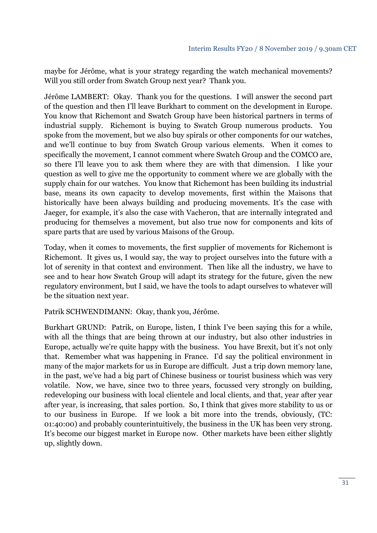maybe for Jérôme, what is your strategy regarding the watch mechanical movements? Will you still order from Swatch Group next year? Thank you.

Jérôme LAMBERT: Okay. Thank you for the questions. I will answer the second part of the question and then I'll leave Burkhart to comment on the development in Europe. You know that Richemont and Swatch Group have been historical partners in terms of industrial supply. Richemont is buying to Swatch Group numerous products. You spoke from the movement, but we also buy spirals or other components for our watches, and we'll continue to buy from Swatch Group various elements. When it comes to specifically the movement, I cannot comment where Swatch Group and the COMCO are, so there I'll leave you to ask them where they are with that dimension. I like your question as well to give me the opportunity to comment where we are globally with the supply chain for our watches. You know that Richemont has been building its industrial base, means its own capacity to develop movements, first within the Maisons that historically have been always building and producing movements. It's the case with Jaeger, for example, it's also the case with Vacheron, that are internally integrated and producing for themselves a movement, but also true now for components and kits of spare parts that are used by various Maisons of the Group.

Today, when it comes to movements, the first supplier of movements for Richemont is Richemont. It gives us, I would say, the way to project ourselves into the future with a lot of serenity in that context and environment. Then like all the industry, we have to see and to hear how Swatch Group will adapt its strategy for the future, given the new regulatory environment, but I said, we have the tools to adapt ourselves to whatever will be the situation next year.

Patrik SCHWENDIMANN: Okay, thank you, Jérôme.

Burkhart GRUND: Patrik, on Europe, listen, I think I've been saying this for a while, with all the things that are being thrown at our industry, but also other industries in Europe, actually we're quite happy with the business. You have Brexit, but it's not only that. Remember what was happening in France. I'd say the political environment in many of the major markets for us in Europe are difficult. Just a trip down memory lane, in the past, we've had a big part of Chinese business or tourist business which was very volatile. Now, we have, since two to three years, focussed very strongly on building, redeveloping our business with local clientele and local clients, and that, year after year after year, is increasing, that sales portion. So, I think that gives more stability to us or to our business in Europe. If we look a bit more into the trends, obviously, (TC: 01:40:00) and probably counterintuitively, the business in the UK has been very strong. It's become our biggest market in Europe now. Other markets have been either slightly up, slightly down.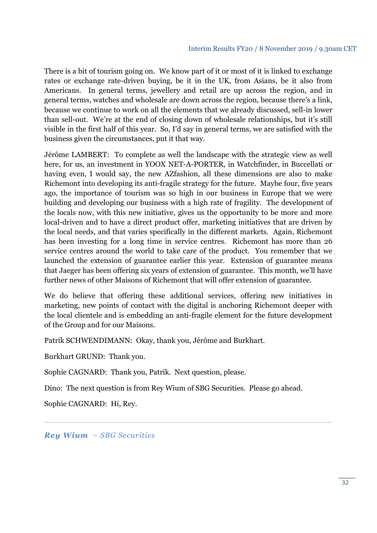There is a bit of tourism going on. We know part of it or most of it is linked to exchange rates or exchange rate-driven buying, be it in the UK, from Asians, be it also from Americans. In general terms, jewellery and retail are up across the region, and in general terms, watches and wholesale are down across the region, because there's a link, because we continue to work on all the elements that we already discussed, sell-in lower than sell-out. We're at the end of closing down of wholesale relationships, but it's still visible in the first half of this year. So, I'd say in general terms, we are satisfied with the business given the circumstances, put it that way.

Jérôme LAMBERT: To complete as well the landscape with the strategic view as well here, for us, an investment in YOOX NET-A-PORTER, in Watchfinder, in Buccellati or having even, I would say, the new AZfashion, all these dimensions are also to make Richemont into developing its anti-fragile strategy for the future. Maybe four, five years ago, the importance of tourism was so high in our business in Europe that we were building and developing our business with a high rate of fragility. The development of the locals now, with this new initiative, gives us the opportunity to be more and more local-driven and to have a direct product offer, marketing initiatives that are driven by the local needs, and that varies specifically in the different markets. Again, Richemont has been investing for a long time in service centres. Richemont has more than 26 service centres around the world to take care of the product. You remember that we launched the extension of guarantee earlier this year. Extension of guarantee means that Jaeger has been offering six years of extension of guarantee. This month, we'll have further news of other Maisons of Richemont that will offer extension of guarantee.

We do believe that offering these additional services, offering new initiatives in marketing, new points of contact with the digital is anchoring Richemont deeper with the local clientele and is embedding an anti-fragile element for the future development of the Group and for our Maisons.

Patrik SCHWENDIMANN: Okay, thank you, Jérôme and Burkhart.

Burkhart GRUND: Thank you.

Sophie CAGNARD: Thank you, Patrik. Next question, please.

Dino: The next question is from Rey Wium of SBG Securities. Please go ahead.

Sophie CAGNARD: Hi, Rey.

*Rey Wium – SBG Securities*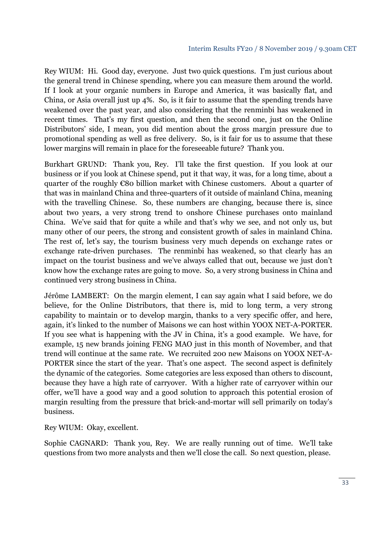Rey WIUM: Hi. Good day, everyone. Just two quick questions. I'm just curious about the general trend in Chinese spending, where you can measure them around the world. If I look at your organic numbers in Europe and America, it was basically flat, and China, or Asia overall just up 4%. So, is it fair to assume that the spending trends have weakened over the past year, and also considering that the renminbi has weakened in recent times. That's my first question, and then the second one, just on the Online Distributors' side, I mean, you did mention about the gross margin pressure due to promotional spending as well as free delivery. So, is it fair for us to assume that these lower margins will remain in place for the foreseeable future? Thank you.

Burkhart GRUND: Thank you, Rey. I'll take the first question. If you look at our business or if you look at Chinese spend, put it that way, it was, for a long time, about a quarter of the roughly €80 billion market with Chinese customers. About a quarter of that was in mainland China and three-quarters of it outside of mainland China, meaning with the travelling Chinese. So, these numbers are changing, because there is, since about two years, a very strong trend to onshore Chinese purchases onto mainland China. We've said that for quite a while and that's why we see, and not only us, but many other of our peers, the strong and consistent growth of sales in mainland China. The rest of, let's say, the tourism business very much depends on exchange rates or exchange rate-driven purchases. The renminbi has weakened, so that clearly has an impact on the tourist business and we've always called that out, because we just don't know how the exchange rates are going to move. So, a very strong business in China and continued very strong business in China.

Jérôme LAMBERT: On the margin element, I can say again what I said before, we do believe, for the Online Distributors, that there is, mid to long term, a very strong capability to maintain or to develop margin, thanks to a very specific offer, and here, again, it's linked to the number of Maisons we can host within YOOX NET-A-PORTER. If you see what is happening with the JV in China, it's a good example. We have, for example, 15 new brands joining FENG MAO just in this month of November, and that trend will continue at the same rate. We recruited 200 new Maisons on YOOX NET-A-PORTER since the start of the year. That's one aspect. The second aspect is definitely the dynamic of the categories. Some categories are less exposed than others to discount, because they have a high rate of carryover. With a higher rate of carryover within our offer, we'll have a good way and a good solution to approach this potential erosion of margin resulting from the pressure that brick-and-mortar will sell primarily on today's business.

Rey WIUM: Okay, excellent.

Sophie CAGNARD: Thank you, Rey. We are really running out of time. We'll take questions from two more analysts and then we'll close the call. So next question, please.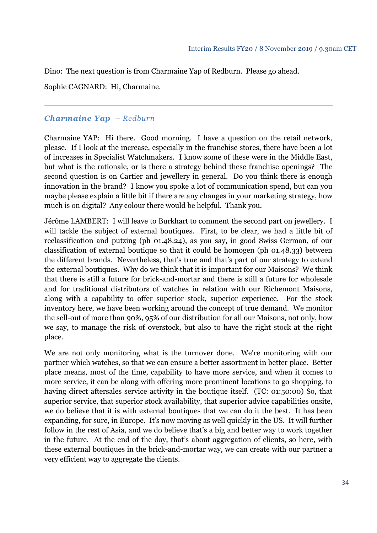Dino: The next question is from Charmaine Yap of Redburn. Please go ahead.

Sophie CAGNARD: Hi, Charmaine.

## *Charmaine Yap – Redburn*

Charmaine YAP: Hi there. Good morning. I have a question on the retail network, please. If I look at the increase, especially in the franchise stores, there have been a lot of increases in Specialist Watchmakers. I know some of these were in the Middle East, but what is the rationale, or is there a strategy behind these franchise openings? The second question is on Cartier and jewellery in general. Do you think there is enough innovation in the brand? I know you spoke a lot of communication spend, but can you maybe please explain a little bit if there are any changes in your marketing strategy, how much is on digital? Any colour there would be helpful. Thank you.

Jérôme LAMBERT: I will leave to Burkhart to comment the second part on jewellery. I will tackle the subject of external boutiques. First, to be clear, we had a little bit of reclassification and putzing (ph 01.48.24), as you say, in good Swiss German, of our classification of external boutique so that it could be homogen (ph 01.48.33) between the different brands. Nevertheless, that's true and that's part of our strategy to extend the external boutiques. Why do we think that it is important for our Maisons? We think that there is still a future for brick-and-mortar and there is still a future for wholesale and for traditional distributors of watches in relation with our Richemont Maisons, along with a capability to offer superior stock, superior experience. For the stock inventory here, we have been working around the concept of true demand. We monitor the sell-out of more than 90%, 95% of our distribution for all our Maisons, not only, how we say, to manage the risk of overstock, but also to have the right stock at the right place.

We are not only monitoring what is the turnover done. We're monitoring with our partner which watches, so that we can ensure a better assortment in better place. Better place means, most of the time, capability to have more service, and when it comes to more service, it can be along with offering more prominent locations to go shopping, to having direct aftersales service activity in the boutique itself. (TC: 01:50:00) So, that superior service, that superior stock availability, that superior advice capabilities onsite, we do believe that it is with external boutiques that we can do it the best. It has been expanding, for sure, in Europe. It's now moving as well quickly in the US. It will further follow in the rest of Asia, and we do believe that's a big and better way to work together in the future. At the end of the day, that's about aggregation of clients, so here, with these external boutiques in the brick-and-mortar way, we can create with our partner a very efficient way to aggregate the clients.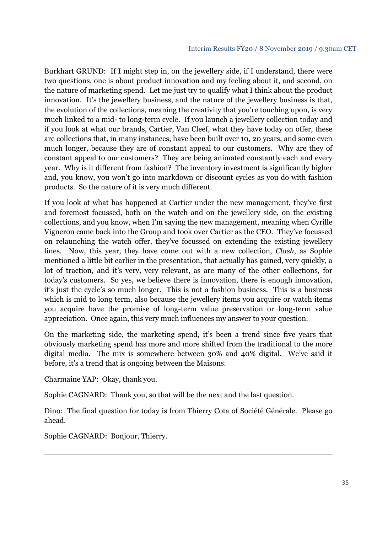Burkhart GRUND: If I might step in, on the jewellery side, if I understand, there were two questions, one is about product innovation and my feeling about it, and second, on the nature of marketing spend. Let me just try to qualify what I think about the product innovation. It's the jewellery business, and the nature of the jewellery business is that, the evolution of the collections, meaning the creativity that you're touching upon, is very much linked to a mid- to long-term cycle. If you launch a jewellery collection today and if you look at what our brands, Cartier, Van Cleef, what they have today on offer, these are collections that, in many instances, have been built over 10, 20 years, and some even much longer, because they are of constant appeal to our customers. Why are they of constant appeal to our customers? They are being animated constantly each and every year. Why is it different from fashion? The inventory investment is significantly higher and, you know, you won't go into markdown or discount cycles as you do with fashion products. So the nature of it is very much different.

If you look at what has happened at Cartier under the new management, they've first and foremost focussed, both on the watch and on the jewellery side, on the existing collections, and you know, when I'm saying the new management, meaning when Cyrille Vigneron came back into the Group and took over Cartier as the CEO. They've focussed on relaunching the watch offer, they've focussed on extending the existing jewellery lines. Now, this year, they have come out with a new collection, *Clash*, as Sophie mentioned a little bit earlier in the presentation, that actually has gained, very quickly, a lot of traction, and it's very, very relevant, as are many of the other collections, for today's customers. So yes, we believe there is innovation, there is enough innovation, it's just the cycle's so much longer. This is not a fashion business. This is a business which is mid to long term, also because the jewellery items you acquire or watch items you acquire have the promise of long-term value preservation or long-term value appreciation. Once again, this very much influences my answer to your question.

On the marketing side, the marketing spend, it's been a trend since five years that obviously marketing spend has more and more shifted from the traditional to the more digital media. The mix is somewhere between 30% and 40% digital. We've said it before, it's a trend that is ongoing between the Maisons.

Charmaine YAP: Okay, thank you.

Sophie CAGNARD: Thank you, so that will be the next and the last question.

Dino: The final question for today is from Thierry Cota of Société Générale. Please go ahead.

Sophie CAGNARD: Bonjour, Thierry.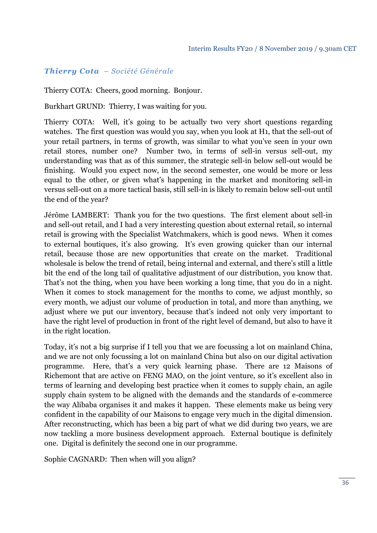## *Thierry Cota – Société Générale*

Thierry COTA: Cheers, good morning. Bonjour.

Burkhart GRUND: Thierry, I was waiting for you.

Thierry COTA: Well, it's going to be actually two very short questions regarding watches. The first question was would you say, when you look at H1, that the sell-out of your retail partners, in terms of growth, was similar to what you've seen in your own retail stores, number one? Number two, in terms of sell-in versus sell-out, my understanding was that as of this summer, the strategic sell-in below sell-out would be finishing. Would you expect now, in the second semester, one would be more or less equal to the other, or given what's happening in the market and monitoring sell-in versus sell-out on a more tactical basis, still sell-in is likely to remain below sell-out until the end of the year?

Jérôme LAMBERT: Thank you for the two questions. The first element about sell-in and sell-out retail, and I had a very interesting question about external retail, so internal retail is growing with the Specialist Watchmakers, which is good news. When it comes to external boutiques, it's also growing. It's even growing quicker than our internal retail, because those are new opportunities that create on the market. Traditional wholesale is below the trend of retail, being internal and external, and there's still a little bit the end of the long tail of qualitative adjustment of our distribution, you know that. That's not the thing, when you have been working a long time, that you do in a night. When it comes to stock management for the months to come, we adjust monthly, so every month, we adjust our volume of production in total, and more than anything, we adjust where we put our inventory, because that's indeed not only very important to have the right level of production in front of the right level of demand, but also to have it in the right location.

Today, it's not a big surprise if I tell you that we are focussing a lot on mainland China, and we are not only focussing a lot on mainland China but also on our digital activation programme. Here, that's a very quick learning phase. There are 12 Maisons of Richemont that are active on FENG MAO, on the joint venture, so it's excellent also in terms of learning and developing best practice when it comes to supply chain, an agile supply chain system to be aligned with the demands and the standards of e-commerce the way Alibaba organises it and makes it happen. These elements make us being very confident in the capability of our Maisons to engage very much in the digital dimension. After reconstructing, which has been a big part of what we did during two years, we are now tackling a more business development approach. External boutique is definitely one. Digital is definitely the second one in our programme.

Sophie CAGNARD: Then when will you align?